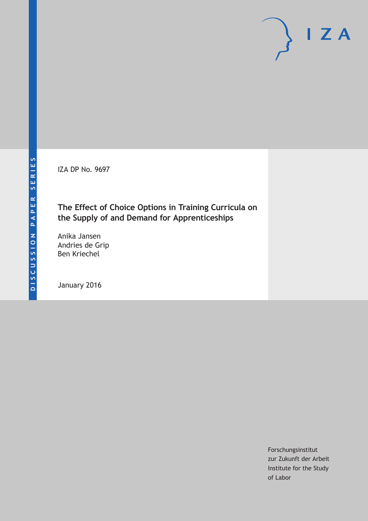IZA DP No. 9697

# **The Effect of Choice Options in Training Curricula on the Supply of and Demand for Apprenticeships**

Anika Jansen Andries de Grip Ben Kriechel

January 2016

Forschungsinstitut zur Zukunft der Arbeit Institute for the Study of Labor

 $I Z A$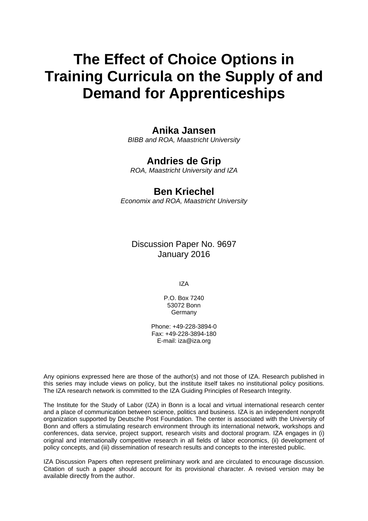# **The Effect of Choice Options in Training Curricula on the Supply of and Demand for Apprenticeships**

# **Anika Jansen**

*BIBB and ROA, Maastricht University* 

# **Andries de Grip**

*ROA, Maastricht University and IZA* 

# **Ben Kriechel**

*Economix and ROA, Maastricht University*

Discussion Paper No. 9697 January 2016

IZA

P.O. Box 7240 53072 Bonn Germany

Phone: +49-228-3894-0 Fax: +49-228-3894-180 E-mail: iza@iza.org

Any opinions expressed here are those of the author(s) and not those of IZA. Research published in this series may include views on policy, but the institute itself takes no institutional policy positions. The IZA research network is committed to the IZA Guiding Principles of Research Integrity.

The Institute for the Study of Labor (IZA) in Bonn is a local and virtual international research center and a place of communication between science, politics and business. IZA is an independent nonprofit organization supported by Deutsche Post Foundation. The center is associated with the University of Bonn and offers a stimulating research environment through its international network, workshops and conferences, data service, project support, research visits and doctoral program. IZA engages in (i) original and internationally competitive research in all fields of labor economics, (ii) development of policy concepts, and (iii) dissemination of research results and concepts to the interested public.

IZA Discussion Papers often represent preliminary work and are circulated to encourage discussion. Citation of such a paper should account for its provisional character. A revised version may be available directly from the author.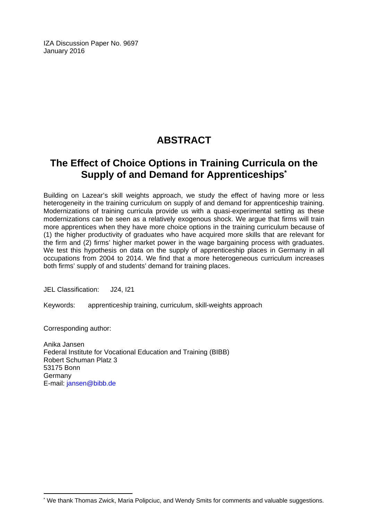IZA Discussion Paper No. 9697 January 2016

# **ABSTRACT**

# **The Effect of Choice Options in Training Curricula on the Supply of and Demand for Apprenticeships\***

Building on Lazear's skill weights approach, we study the effect of having more or less heterogeneity in the training curriculum on supply of and demand for apprenticeship training. Modernizations of training curricula provide us with a quasi-experimental setting as these modernizations can be seen as a relatively exogenous shock. We argue that firms will train more apprentices when they have more choice options in the training curriculum because of (1) the higher productivity of graduates who have acquired more skills that are relevant for the firm and (2) firms' higher market power in the wage bargaining process with graduates. We test this hypothesis on data on the supply of apprenticeship places in Germany in all occupations from 2004 to 2014. We find that a more heterogeneous curriculum increases both firms' supply of and students' demand for training places.

JEL Classification: J24, I21

Keywords: apprenticeship training, curriculum, skill-weights approach

Corresponding author:

 $\overline{a}$ 

Anika Jansen Federal Institute for Vocational Education and Training (BIBB) Robert Schuman Platz 3 53175 Bonn **Germany** E-mail: jansen@bibb.de

<sup>\*</sup> We thank Thomas Zwick, Maria Polipciuc, and Wendy Smits for comments and valuable suggestions.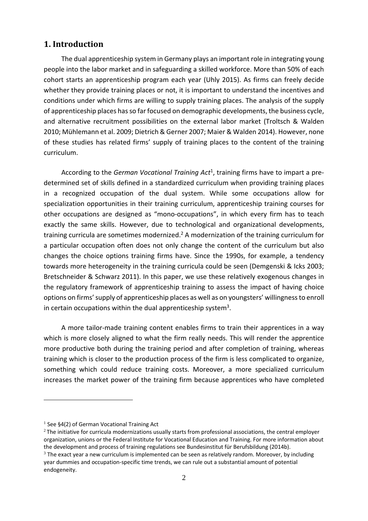# **1. Introduction**

The dual apprenticeship system in Germany plays an important role in integrating young people into the labor market and in safeguarding a skilled workforce. More than 50% of each cohort starts an apprenticeship program each year (Uhly 2015). As firms can freely decide whether they provide training places or not, it is important to understand the incentives and conditions under which firms are willing to supply training places. The analysis of the supply of apprenticeship places has so far focused on demographic developments, the business cycle, and alternative recruitment possibilities on the external labor market (Troltsch & Walden 2010; Mühlemann et al. 2009; Dietrich & Gerner 2007; Maier & Walden 2014). However, none of these studies has related firms' supply of training places to the content of the training curriculum.

According to the *German Vocational Training Act*<sup>1</sup> , training firms have to impart a pre‐ determined set of skills defined in a standardized curriculum when providing training places in a recognized occupation of the dual system. While some occupations allow for specialization opportunities in their training curriculum, apprenticeship training courses for other occupations are designed as "mono‐occupations", in which every firm has to teach exactly the same skills. However, due to technological and organizational developments, training curricula are sometimes modernized.<sup>2</sup> A modernization of the training curriculum for a particular occupation often does not only change the content of the curriculum but also changes the choice options training firms have. Since the 1990s, for example, a tendency towards more heterogeneity in the training curricula could be seen (Demgenski & Icks 2003; Bretschneider & Schwarz 2011). In this paper, we use these relatively exogenous changes in the regulatory framework of apprenticeship training to assess the impact of having choice options on firms' supply of apprenticeship places as well as on youngsters' willingness to enroll in certain occupations within the dual apprenticeship system<sup>3</sup>.

A more tailor‐made training content enables firms to train their apprentices in a way which is more closely aligned to what the firm really needs. This will render the apprentice more productive both during the training period and after completion of training, whereas training which is closer to the production process of the firm is less complicated to organize, something which could reduce training costs. Moreover, a more specialized curriculum increases the market power of the training firm because apprentices who have completed

1

 $1$  See §4(2) of German Vocational Training Act

 $2$ The initiative for curricula modernizations usually starts from professional associations, the central employer organization, unions or the Federal Institute for Vocational Education and Training. For more information about the development and process of training regulations see Bundesinstitut für Berufsbildung (2014b).

 $3$  The exact year a new curriculum is implemented can be seen as relatively random. Moreover, by including year dummies and occupation‐specific time trends, we can rule out a substantial amount of potential endogeneity.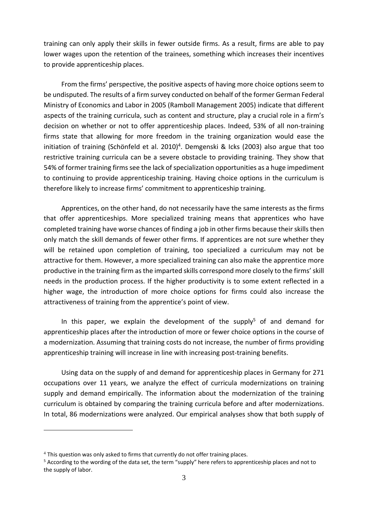training can only apply their skills in fewer outside firms. As a result, firms are able to pay lower wages upon the retention of the trainees, something which increases their incentives to provide apprenticeship places.

From the firms' perspective, the positive aspects of having more choice options seem to be undisputed. The results of a firm survey conducted on behalf of the former German Federal Ministry of Economics and Labor in 2005 (Ramboll Management 2005) indicate that different aspects of the training curricula, such as content and structure, play a crucial role in a firm's decision on whether or not to offer apprenticeship places. Indeed, 53% of all non-training firms state that allowing for more freedom in the training organization would ease the initiation of training (Schönfeld et al. 2010)<sup>4</sup>. Demgenski & Icks (2003) also argue that too restrictive training curricula can be a severe obstacle to providing training. They show that 54% of former training firms see the lack of specialization opportunities as a huge impediment to continuing to provide apprenticeship training. Having choice options in the curriculum is therefore likely to increase firms' commitment to apprenticeship training.

Apprentices, on the other hand, do not necessarily have the same interests as the firms that offer apprenticeships. More specialized training means that apprentices who have completed training have worse chances of finding a job in other firms because their skills then only match the skill demands of fewer other firms. If apprentices are not sure whether they will be retained upon completion of training, too specialized a curriculum may not be attractive for them. However, a more specialized training can also make the apprentice more productive in the training firm asthe imparted skills correspond more closely to the firms' skill needs in the production process. If the higher productivity is to some extent reflected in a higher wage, the introduction of more choice options for firms could also increase the attractiveness of training from the apprentice's point of view.

In this paper, we explain the development of the supply<sup>5</sup> of and demand for apprenticeship places after the introduction of more or fewer choice options in the course of a modernization. Assuming that training costs do not increase, the number of firms providing apprenticeship training will increase in line with increasing post-training benefits.

Using data on the supply of and demand for apprenticeship places in Germany for 271 occupations over 11 years, we analyze the effect of curricula modernizations on training supply and demand empirically. The information about the modernization of the training curriculum is obtained by comparing the training curricula before and after modernizations. In total, 86 modernizations were analyzed. Our empirical analyses show that both supply of

1

<sup>&</sup>lt;sup>4</sup> This question was only asked to firms that currently do not offer training places.

<sup>5</sup> According to the wording of the data set, the term "supply" here refers to apprenticeship places and not to the supply of labor.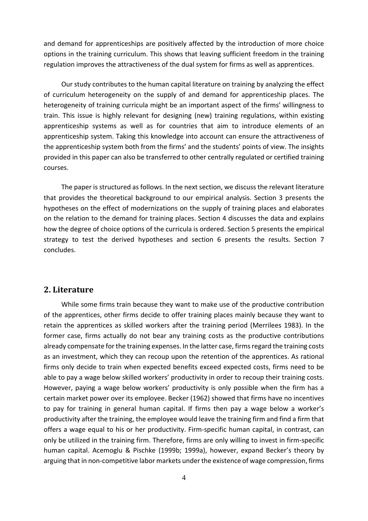and demand for apprenticeships are positively affected by the introduction of more choice options in the training curriculum. This shows that leaving sufficient freedom in the training regulation improves the attractiveness of the dual system for firms as well as apprentices.

Our study contributes to the human capital literature on training by analyzing the effect of curriculum heterogeneity on the supply of and demand for apprenticeship places. The heterogeneity of training curricula might be an important aspect of the firms' willingness to train. This issue is highly relevant for designing (new) training regulations, within existing apprenticeship systems as well as for countries that aim to introduce elements of an apprenticeship system. Taking this knowledge into account can ensure the attractiveness of the apprenticeship system both from the firms' and the students' points of view. The insights provided in this paper can also be transferred to other centrally regulated or certified training courses.

The paper is structured as follows. In the next section, we discuss the relevant literature that provides the theoretical background to our empirical analysis. Section 3 presents the hypotheses on the effect of modernizations on the supply of training places and elaborates on the relation to the demand for training places. Section 4 discusses the data and explains how the degree of choice options of the curricula is ordered. Section 5 presents the empirical strategy to test the derived hypotheses and section 6 presents the results. Section 7 concludes.

#### **2.** Literature

While some firms train because they want to make use of the productive contribution of the apprentices, other firms decide to offer training places mainly because they want to retain the apprentices as skilled workers after the training period (Merrilees 1983). In the former case, firms actually do not bear any training costs as the productive contributions already compensate for the training expenses. In the latter case, firms regard the training costs as an investment, which they can recoup upon the retention of the apprentices. As rational firms only decide to train when expected benefits exceed expected costs, firms need to be able to pay a wage below skilled workers' productivity in order to recoup their training costs. However, paying a wage below workers' productivity is only possible when the firm has a certain market power over its employee. Becker (1962) showed that firms have no incentives to pay for training in general human capital. If firms then pay a wage below a worker's productivity after the training, the employee would leave the training firm and find a firm that offers a wage equal to his or her productivity. Firm‐specific human capital, in contrast, can only be utilized in the training firm. Therefore, firms are only willing to invest in firm‐specific human capital. Acemoglu & Pischke (1999b; 1999a), however, expand Becker's theory by arguing that in non‐competitive labor markets underthe existence of wage compression, firms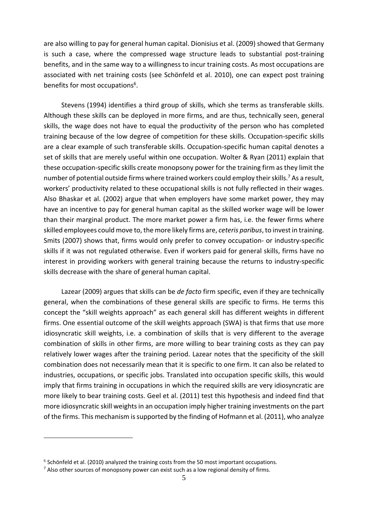are also willing to pay for general human capital. Dionisius et al. (2009) showed that Germany is such a case, where the compressed wage structure leads to substantial post-training benefits, and in the same way to a willingness to incur training costs. As most occupations are associated with net training costs (see Schönfeld et al. 2010), one can expect post training benefits for most occupations<sup>6</sup>.

Stevens (1994) identifies a third group of skills, which she terms as transferable skills. Although these skills can be deployed in more firms, and are thus, technically seen, general skills, the wage does not have to equal the productivity of the person who has completed training because of the low degree of competition for these skills. Occupation‐specific skills are a clear example of such transferable skills. Occupation‐specific human capital denotes a set of skills that are merely useful within one occupation. Wolter & Ryan (2011) explain that these occupation-specific skills create monopsony power for the training firm as they limit the number of potential outside firms where trained workers could employ their skills.<sup>7</sup> As a result, workers' productivity related to these occupational skills is not fully reflected in their wages. Also Bhaskar et al. (2002) argue that when employers have some market power, they may have an incentive to pay for general human capital as the skilled worker wage will be lower than their marginal product. The more market power a firm has, i.e. the fewer firms where skilled employees could move to, the more likely firms are, *ceteris paribus*,to invest in training. Smits (2007) shows that, firms would only prefer to convey occupation‐ or industry‐specific skills if it was not regulated otherwise. Even if workers paid for general skills, firms have no interest in providing workers with general training because the returns to industry‐specific skills decrease with the share of general human capital.

Lazear (2009) argues that skills can be *de facto* firm specific, even if they are technically general, when the combinations of these general skills are specific to firms. He terms this concept the "skill weights approach" as each general skill has different weights in different firms. One essential outcome of the skill weights approach (SWA) is that firms that use more idiosyncratic skill weights, i.e. a combination of skills that is very different to the average combination of skills in other firms, are more willing to bear training costs as they can pay relatively lower wages after the training period. Lazear notes that the specificity of the skill combination does not necessarily mean that it is specific to one firm. It can also be related to industries, occupations, or specific jobs. Translated into occupation specific skills, this would imply that firms training in occupations in which the required skills are very idiosyncratic are more likely to bear training costs. Geel et al. (2011) test this hypothesis and indeed find that more idiosyncratic skill weights in an occupation imply higher training investments on the part of the firms. This mechanism issupported by the finding of Hofmann et al. (2011), who analyze

<u>.</u>

<sup>&</sup>lt;sup>6</sup> Schönfeld et al. (2010) analyzed the training costs from the 50 most important occupations.

<sup>&</sup>lt;sup>7</sup> Also other sources of monopsony power can exist such as a low regional density of firms.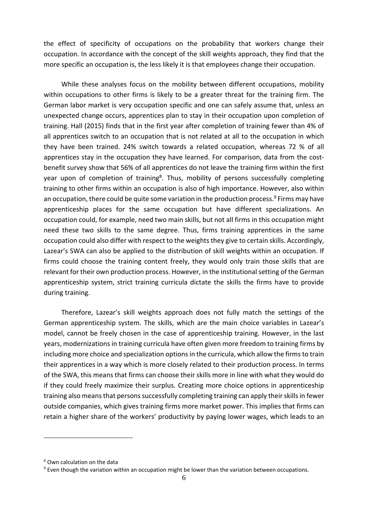the effect of specificity of occupations on the probability that workers change their occupation. In accordance with the concept of the skill weights approach, they find that the more specific an occupation is, the less likely it is that employees change their occupation.

While these analyses focus on the mobility between different occupations, mobility within occupations to other firms is likely to be a greater threat for the training firm. The German labor market is very occupation specific and one can safely assume that, unless an unexpected change occurs, apprentices plan to stay in their occupation upon completion of training. Hall (2015) finds that in the first year after completion of training fewer than 4% of all apprentices switch to an occupation that is not related at all to the occupation in which they have been trained. 24% switch towards a related occupation, whereas 72 % of all apprentices stay in the occupation they have learned. For comparison, data from the costbenefit survey show that 56% of all apprentices do not leave the training firm within the first year upon of completion of training<sup>8</sup>. Thus, mobility of persons successfully completing training to other firms within an occupation is also of high importance. However, also within an occupation, there could be quite some variation in the production process.<sup>9</sup> Firms may have apprenticeship places for the same occupation but have different specializations. An occupation could, for example, need two main skills, but not all firms in this occupation might need these two skills to the same degree. Thus, firms training apprentices in the same occupation could also differ with respect to the weights they give to certain skills. Accordingly, Lazear's SWA can also be applied to the distribution of skill weights within an occupation. If firms could choose the training content freely, they would only train those skills that are relevant for their own production process. However, in the institutional setting of the German apprenticeship system, strict training curricula dictate the skills the firms have to provide during training.

Therefore, Lazear's skill weights approach does not fully match the settings of the German apprenticeship system. The skills, which are the main choice variables in Lazear's model, cannot be freely chosen in the case of apprenticeship training. However, in the last years, modernizations in training curricula have often given more freedom to training firms by including more choice and specialization options in the curricula, which allow the firms to train their apprentices in a way which is more closely related to their production process. In terms of the SWA, this means that firms can choose their skills more in line with what they would do if they could freely maximize their surplus. Creating more choice options in apprenticeship training also means that persons successfully completing training can apply their skills in fewer outside companies, which gives training firms more market power. This implies that firms can retain a higher share of the workers' productivity by paying lower wages, which leads to an

<u>.</u>

<sup>8</sup> Own calculation on the data

<sup>9</sup> Even though the variation within an occupation might be lower than the variation between occupations.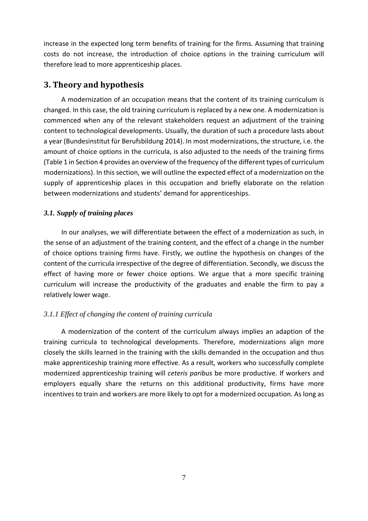increase in the expected long term benefits of training for the firms. Assuming that training costs do not increase, the introduction of choice options in the training curriculum will therefore lead to more apprenticeship places.

# **3. Theory and hypothesis**

A modernization of an occupation means that the content of its training curriculum is changed. In this case, the old training curriculum is replaced by a new one. A modernization is commenced when any of the relevant stakeholders request an adjustment of the training content to technological developments. Usually, the duration of such a procedure lasts about a year (Bundesinstitut für Berufsbildung 2014). In most modernizations, the structure, i.e. the amount of choice options in the curricula, is also adjusted to the needs of the training firms (Table 1 in Section 4 provides an overview of the frequency of the different types of curriculum modernizations). In this section, we will outline the expected effect of a modernization on the supply of apprenticeship places in this occupation and briefly elaborate on the relation between modernizations and students' demand for apprenticeships.

#### *3.1. Supply of training places*

In our analyses, we will differentiate between the effect of a modernization as such, in the sense of an adjustment of the training content, and the effect of a change in the number of choice options training firms have. Firstly, we outline the hypothesis on changes of the content of the curricula irrespective of the degree of differentiation. Secondly, we discuss the effect of having more or fewer choice options. We argue that a more specific training curriculum will increase the productivity of the graduates and enable the firm to pay a relatively lower wage.

### *3.1.1 Effect of changing the content of training curricula*

A modernization of the content of the curriculum always implies an adaption of the training curricula to technological developments. Therefore, modernizations align more closely the skills learned in the training with the skills demanded in the occupation and thus make apprenticeship training more effective. As a result, workers who successfully complete modernized apprenticeship training will *ceteris paribus* be more productive. If workers and employers equally share the returns on this additional productivity, firms have more incentives to train and workers are more likely to opt for a modernized occupation. As long as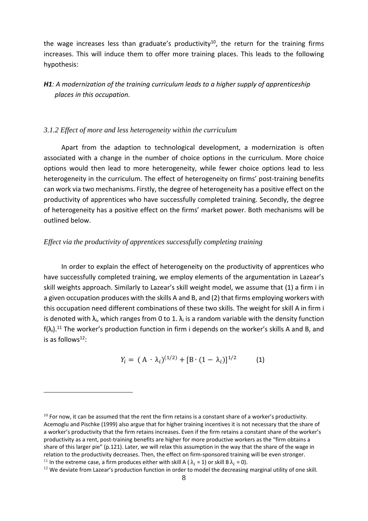the wage increases less than graduate's productivity<sup>10</sup>, the return for the training firms increases. This will induce them to offer more training places. This leads to the following hypothesis:

*H1: A modernization of the training curriculum leads to a higher supply of apprenticeship places in this occupation.* 

#### *3.1.2 Effect of more and less heterogeneity within the curriculum*

Apart from the adaption to technological development, a modernization is often associated with a change in the number of choice options in the curriculum. More choice options would then lead to more heterogeneity, while fewer choice options lead to less heterogeneity in the curriculum. The effect of heterogeneity on firms' post-training benefits can work via two mechanisms. Firstly, the degree of heterogeneity has a positive effect on the productivity of apprentices who have successfully completed training. Secondly, the degree of heterogeneity has a positive effect on the firms' market power. Both mechanisms will be outlined below.

#### *Effect via the productivity of apprentices successfully completing training*

1

In order to explain the effect of heterogeneity on the productivity of apprentices who have successfully completed training, we employ elements of the argumentation in Lazear's skill weights approach. Similarly to Lazear's skill weight model, we assume that (1) a firm i in a given occupation produces with the skills A and B, and (2) that firms employing workers with this occupation need different combinations of these two skills. The weight for skill A in firm i is denoted with  $\lambda_i$ , which ranges from 0 to 1.  $\lambda_i$  is a random variable with the density function  $f(\lambda_i)$ .<sup>11</sup> The worker's production function in firm i depends on the worker's skills A and B, and is as follows $12$ :

$$
Y_i = (A \cdot \lambda_i)^{(1/2)} + [B \cdot (1 - \lambda_i)]^{1/2} \tag{1}
$$

 $10$  For now, it can be assumed that the rent the firm retains is a constant share of a worker's productivity. Acemoglu and Pischke (1999) also argue that for higher training incentives it is not necessary that the share of a worker's productivity that the firm retains increases. Even if the firm retains a constant share of the worker's productivity as a rent, post‐training benefits are higher for more productive workers as the "firm obtains a share of this larger pie" (p.121). Later, we will relax this assumption in the way that the share of the wage in relation to the productivity decreases. Then, the effect on firm-sponsored training will be even stronger.<br><sup>11</sup> In the extreme case, a firm produces either with skill A ( $\lambda_i = 1$ ) or skill B  $\lambda_i = 0$ ).

 $12$  We deviate from Lazear's production function in order to model the decreasing marginal utility of one skill.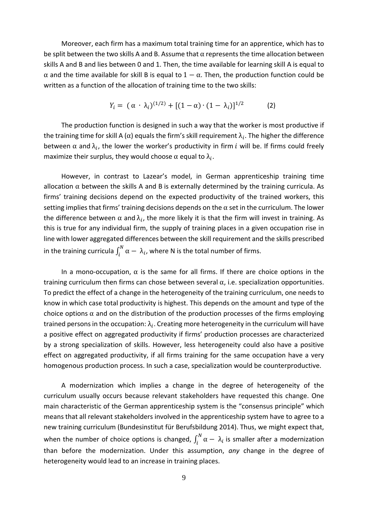Moreover, each firm has a maximum total training time for an apprentice, which has to be split between the two skills A and B. Assume that  $\alpha$  represents the time allocation between skills A and B and lies between 0 and 1. Then, the time available for learning skill A is equal to  $\alpha$  and the time available for skill B is equal to  $1 - \alpha$ . Then, the production function could be written as a function of the allocation of training time to the two skills:

$$
Y_i = (\alpha \cdot \lambda_i)^{(1/2)} + [(1-\alpha) \cdot (1-\lambda_i)]^{1/2}
$$
 (2)

The production function is designed in such a way that the worker is most productive if the training time for skill A ( $\alpha$ ) equals the firm's skill requirement  $\lambda_i$ . The higher the difference between  $\alpha$  and  $\lambda_i$ , the lower the worker's productivity in firm i will be. If firms could freely maximize their surplus, they would choose  $\alpha$  equal to  $\lambda_i$ .

However, in contrast to Lazear's model, in German apprenticeship training time allocation  $\alpha$  between the skills A and B is externally determined by the training curricula. As firms' training decisions depend on the expected productivity of the trained workers, this setting implies that firms' training decisions depends on the  $\alpha$  set in the curriculum. The lower the difference between  $\alpha$  and  $\lambda_i$ , the more likely it is that the firm will invest in training. As this is true for any individual firm, the supply of training places in a given occupation rise in line with lower aggregated differences between the skill requirement and the skills prescribed in the training curricula  $\int_i^N \alpha - \lambda_i$ , where N is the total number of firms.

In a mono-occupation,  $\alpha$  is the same for all firms. If there are choice options in the training curriculum then firms can chose between several  $\alpha$ , i.e. specialization opportunities. To predict the effect of a change in the heterogeneity of the training curriculum, one needs to know in which case total productivity is highest. This depends on the amount and type of the choice options  $\alpha$  and on the distribution of the production processes of the firms employing trained persons in the occupation:  $\lambda_i$ . Creating more heterogeneity in the curriculum will have a positive effect on aggregated productivity if firms' production processes are characterized by a strong specialization of skills. However, less heterogeneity could also have a positive effect on aggregated productivity, if all firms training for the same occupation have a very homogenous production process. In such a case, specialization would be counterproductive.

A modernization which implies a change in the degree of heterogeneity of the curriculum usually occurs because relevant stakeholders have requested this change. One main characteristic of the German apprenticeship system is the "consensus principle" which means that all relevant stakeholders involved in the apprenticeship system have to agree to a new training curriculum (Bundesinstitut für Berufsbildung 2014). Thus, we might expect that, when the number of choice options is changed,  $\int_i^N \alpha - \lambda_i$  is smaller after a modernization than before the modernization. Under this assumption, *any* change in the degree of heterogeneity would lead to an increase in training places.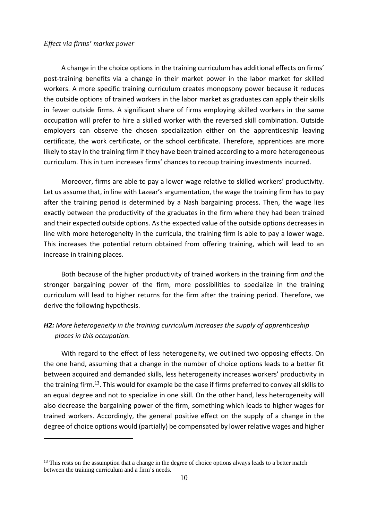#### *Effect via firms' market power*

1

A change in the choice options in the training curriculum has additional effects on firms' post-training benefits via a change in their market power in the labor market for skilled workers. A more specific training curriculum creates monopsony power because it reduces the outside options of trained workers in the labor market as graduates can apply their skills in fewer outside firms. A significant share of firms employing skilled workers in the same occupation will prefer to hire a skilled worker with the reversed skill combination. Outside employers can observe the chosen specialization either on the apprenticeship leaving certificate, the work certificate, or the school certificate. Therefore, apprentices are more likely to stay in the training firm if they have been trained according to a more heterogeneous curriculum. This in turn increases firms' chances to recoup training investments incurred.

Moreover, firms are able to pay a lower wage relative to skilled workers' productivity. Let us assume that, in line with Lazear's argumentation, the wage the training firm has to pay after the training period is determined by a Nash bargaining process. Then, the wage lies exactly between the productivity of the graduates in the firm where they had been trained and their expected outside options. As the expected value of the outside options decreases in line with more heterogeneity in the curricula, the training firm is able to pay a lower wage. This increases the potential return obtained from offering training, which will lead to an increase in training places.

Both because of the higher productivity of trained workers in the training firm *and* the stronger bargaining power of the firm, more possibilities to specialize in the training curriculum will lead to higher returns for the firm after the training period. Therefore, we derive the following hypothesis.

# *H2: More heterogeneity in the training curriculum increases the supply of apprenticeship places in this occupation.*

With regard to the effect of less heterogeneity, we outlined two opposing effects. On the one hand, assuming that a change in the number of choice options leads to a better fit between acquired and demanded skills, less heterogeneity increases workers' productivity in the training firm.<sup>13</sup>. This would for example be the case if firms preferred to convey all skills to an equal degree and not to specialize in one skill. On the other hand, less heterogeneity will also decrease the bargaining power of the firm, something which leads to higher wages for trained workers. Accordingly, the general positive effect on the supply of a change in the degree of choice options would (partially) be compensated by lower relative wages and higher

<sup>&</sup>lt;sup>13</sup> This rests on the assumption that a change in the degree of choice options always leads to a better match between the training curriculum and a firm's needs.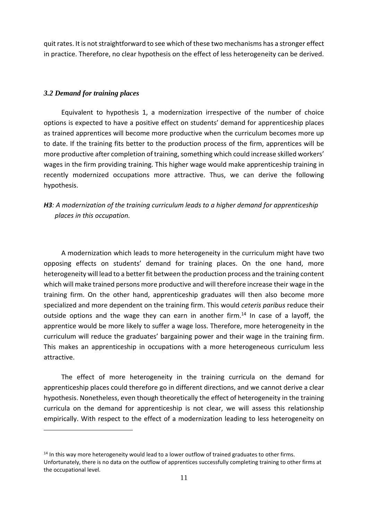quit rates. It is not straightforward to see which of these two mechanisms has a stronger effect in practice. Therefore, no clear hypothesis on the effect of less heterogeneity can be derived.

#### *3.2 Demand for training places*

1

Equivalent to hypothesis 1, a modernization irrespective of the number of choice options is expected to have a positive effect on students' demand for apprenticeship places as trained apprentices will become more productive when the curriculum becomes more up to date. If the training fits better to the production process of the firm, apprentices will be more productive after completion of training, something which could increase skilled workers' wages in the firm providing training. This higher wage would make apprenticeship training in recently modernized occupations more attractive. Thus, we can derive the following hypothesis.

# *H3: A modernization of the training curriculum leads to a higher demand for apprenticeship places in this occupation.*

A modernization which leads to more heterogeneity in the curriculum might have two opposing effects on students' demand for training places. On the one hand, more heterogeneity will lead to a better fit between the production process and the training content which will make trained persons more productive and will therefore increase their wage in the training firm. On the other hand, apprenticeship graduates will then also become more specialized and more dependent on the training firm. This would *ceteris paribus* reduce their outside options and the wage they can earn in another firm.<sup>14</sup> In case of a layoff, the apprentice would be more likely to suffer a wage loss. Therefore, more heterogeneity in the curriculum will reduce the graduates' bargaining power and their wage in the training firm. This makes an apprenticeship in occupations with a more heterogeneous curriculum less attractive.

The effect of more heterogeneity in the training curricula on the demand for apprenticeship places could therefore go in different directions, and we cannot derive a clear hypothesis. Nonetheless, even though theoretically the effect of heterogeneity in the training curricula on the demand for apprenticeship is not clear, we will assess this relationship empirically. With respect to the effect of a modernization leading to less heterogeneity on

 $14$  In this way more heterogeneity would lead to a lower outflow of trained graduates to other firms. Unfortunately, there is no data on the outflow of apprentices successfully completing training to other firms at the occupational level.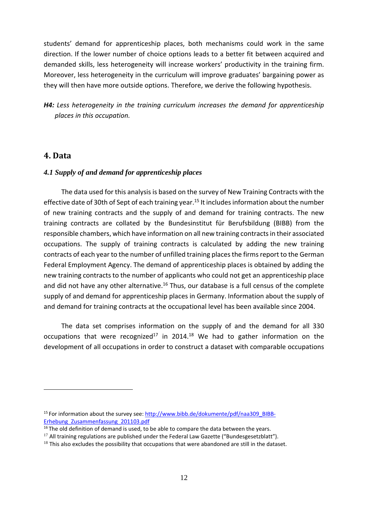students' demand for apprenticeship places, both mechanisms could work in the same direction. If the lower number of choice options leads to a better fit between acquired and demanded skills, less heterogeneity will increase workers' productivity in the training firm. Moreover, less heterogeneity in the curriculum will improve graduates' bargaining power as they will then have more outside options. Therefore, we derive the following hypothesis.

*H4: Less heterogeneity in the training curriculum increases the demand for apprenticeship places in this occupation.*

### **4. Data**

1

#### *4.1 Supply of and demand for apprenticeship places*

The data used for this analysis is based on the survey of New Training Contracts with the effective date of 30th of Sept of each training year.<sup>15</sup> It includes information about the number of new training contracts and the supply of and demand for training contracts. The new training contracts are collated by the Bundesinstitut für Berufsbildung (BIBB) from the responsible chambers, which have information on all new training contractsin their associated occupations. The supply of training contracts is calculated by adding the new training contracts of each year to the number of unfilled training places the firms report to the German Federal Employment Agency. The demand of apprenticeship places is obtained by adding the new training contracts to the number of applicants who could not get an apprenticeship place and did not have any other alternative.<sup>16</sup> Thus, our database is a full census of the complete supply of and demand for apprenticeship places in Germany. Information about the supply of and demand for training contracts at the occupational level has been available since 2004.

The data set comprises information on the supply of and the demand for all 330 occupations that were recognized<sup>17</sup> in 2014.<sup>18</sup> We had to gather information on the development of all occupations in order to construct a dataset with comparable occupations

<sup>&</sup>lt;sup>15</sup> For information about the survey see: http://www.bibb.de/dokumente/pdf/naa309\_BIBB-Erhebung\_Zusammenfassung\_201103.pdf

 $16$  The old definition of demand is used, to be able to compare the data between the years.

 $17$  All training regulations are published under the Federal Law Gazette ("Bundesgesetzblatt").

 $18$  This also excludes the possibility that occupations that were abandoned are still in the dataset.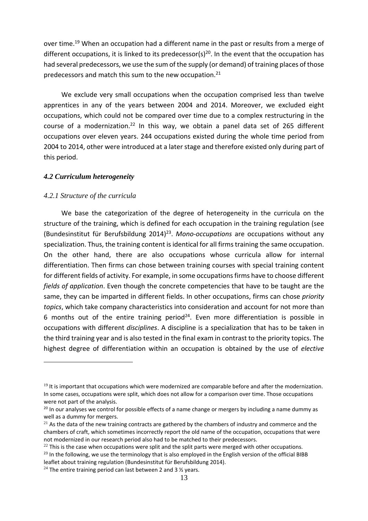over time.<sup>19</sup> When an occupation had a different name in the past or results from a merge of different occupations, it is linked to its predecessor(s)<sup>20</sup>. In the event that the occupation has had several predecessors, we use the sum of the supply (or demand) of training places of those predecessors and match this sum to the new occupation.<sup>21</sup>

We exclude very small occupations when the occupation comprised less than twelve apprentices in any of the years between 2004 and 2014. Moreover, we excluded eight occupations, which could not be compared over time due to a complex restructuring in the course of a modernization.<sup>22</sup> In this way, we obtain a panel data set of 265 different occupations over eleven years. 244 occupations existed during the whole time period from 2004 to 2014, other were introduced at a later stage and therefore existed only during part of this period.

#### *4.2 Curriculum heterogeneity*

#### *4.2.1 Structure of the curricula*

1

We base the categorization of the degree of heterogeneity in the curricula on the structure of the training, which is defined for each occupation in the training regulation (see (Bundesinstitut für Berufsbildung 2014)23. *Mono‐occupations* are occupations without any specialization. Thus, the training content is identical for all firms training the same occupation. On the other hand, there are also occupations whose curricula allow for internal differentiation. Then firms can chose between training courses with special training content for different fields of activity. For example, in some occupations firms have to choose different *fields of application*. Even though the concrete competencies that have to be taught are the same, they can be imparted in different fields. In other occupations, firms can chose *priority topics*, which take company characteristics into consideration and account for not more than 6 months out of the entire training period<sup>24</sup>. Even more differentiation is possible in occupations with different *disciplines*. A discipline is a specialization that has to be taken in the third training year and is also tested in the final exam in contrast to the priority topics. The highest degree of differentiation within an occupation is obtained by the use of *elective*

 $19$  It is important that occupations which were modernized are comparable before and after the modernization. In some cases, occupations were split, which does not allow for a comparison over time. Those occupations were not part of the analysis.

<sup>&</sup>lt;sup>20</sup> In our analyses we control for possible effects of a name change or mergers by including a name dummy as well as a dummy for mergers.

 $21$  As the data of the new training contracts are gathered by the chambers of industry and commerce and the chambers of craft, which sometimes incorrectly report the old name of the occupation, occupations that were not modernized in our research period also had to be matched to their predecessors.

 $22$  This is the case when occupations were split and the split parts were merged with other occupations.

 $23$  In the following, we use the terminology that is also employed in the English version of the official BIBB leaflet about training regulation (Bundesinstitut für Berufsbildung 2014).

<sup>&</sup>lt;sup>24</sup> The entire training period can last between 2 and 3  $\frac{1}{2}$  years.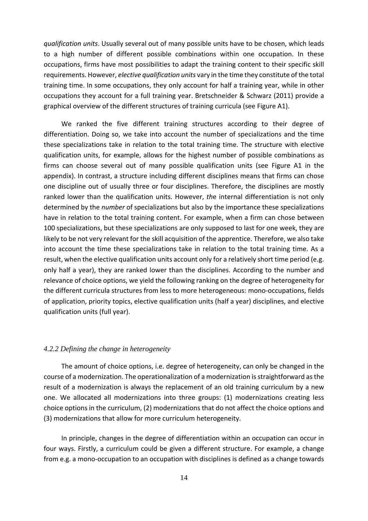*qualification units*. Usually several out of many possible units have to be chosen, which leads to a high number of different possible combinations within one occupation. In these occupations, firms have most possibilities to adapt the training content to their specific skill requirements. However, *elective qualification units* vary in the time they constitute of the total training time. In some occupations, they only account for half a training year, while in other occupations they account for a full training year. Bretschneider & Schwarz (2011) provide a graphical overview of the different structures of training curricula (see Figure A1).

We ranked the five different training structures according to their degree of differentiation. Doing so, we take into account the number of specializations and the time these specializations take in relation to the total training time. The structure with elective qualification units, for example, allows for the highest number of possible combinations as firms can choose several out of many possible qualification units (see Figure A1 in the appendix). In contrast, a structure including different disciplines means that firms can chose one discipline out of usually three or four disciplines. Therefore, the disciplines are mostly ranked lower than the qualification units. However, *th*e internal differentiation is not only determined by the *number* of specializations but also by the importance these specializations have in relation to the total training content. For example, when a firm can chose between 100 specializations, but these specializations are only supposed to last for one week, they are likely to be not very relevant for the skill acquisition of the apprentice. Therefore, we also take into account the time these specializations take in relation to the total training time. As a result, when the elective qualification units account only for a relatively short time period (e.g. only half a year), they are ranked lower than the disciplines. According to the number and relevance of choice options, we yield the following ranking on the degree of heterogeneity for the different curricula structures from less to more heterogeneous: mono‐occupations, fields of application, priority topics, elective qualification units (half a year) disciplines, and elective qualification units (full year).

#### *4.2.2 Defining the change in heterogeneity*

The amount of choice options, i.e. degree of heterogeneity, can only be changed in the course of a modernization. The operationalization of a modernization is straightforward as the result of a modernization is always the replacement of an old training curriculum by a new one. We allocated all modernizations into three groups: (1) modernizations creating less choice options in the curriculum, (2) modernizations that do not affect the choice options and (3) modernizations that allow for more curriculum heterogeneity.

In principle, changes in the degree of differentiation within an occupation can occur in four ways. Firstly, a curriculum could be given a different structure. For example, a change from e.g. a mono‐occupation to an occupation with disciplines is defined as a change towards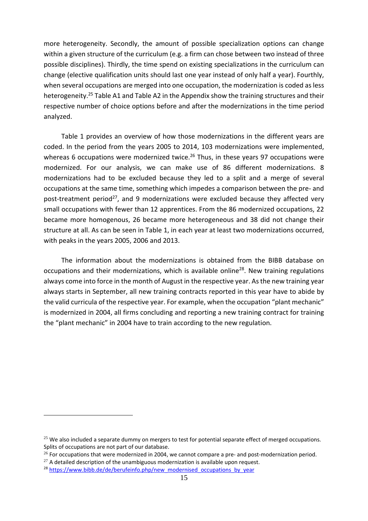more heterogeneity. Secondly, the amount of possible specialization options can change within a given structure of the curriculum (e.g. a firm can chose between two instead of three possible disciplines). Thirdly, the time spend on existing specializations in the curriculum can change (elective qualification units should last one year instead of only half a year). Fourthly, when several occupations are merged into one occupation, the modernization is coded as less heterogeneity.<sup>25</sup> Table A1 and Table A2 in the Appendix show the training structures and their respective number of choice options before and after the modernizations in the time period analyzed.

Table 1 provides an overview of how those modernizations in the different years are coded. In the period from the years 2005 to 2014, 103 modernizations were implemented, whereas 6 occupations were modernized twice.<sup>26</sup> Thus, in these years 97 occupations were modernized. For our analysis, we can make use of 86 different modernizations. 8 modernizations had to be excluded because they led to a split and a merge of several occupations at the same time, something which impedes a comparison between the pre‐ and post-treatment period<sup>27</sup>, and 9 modernizations were excluded because they affected very small occupations with fewer than 12 apprentices. From the 86 modernized occupations, 22 became more homogenous, 26 became more heterogeneous and 38 did not change their structure at all. As can be seen in Table 1, in each year at least two modernizations occurred, with peaks in the years 2005, 2006 and 2013.

The information about the modernizations is obtained from the BIBB database on occupations and their modernizations, which is available online28. New training regulations always come into force in the month of August in the respective year. Asthe new training year always starts in September, all new training contracts reported in this year have to abide by the valid curricula of the respective year. For example, when the occupation "plant mechanic" is modernized in 2004, all firms concluding and reporting a new training contract for training the "plant mechanic" in 2004 have to train according to the new regulation.

1

<sup>&</sup>lt;sup>25</sup> We also included a separate dummy on mergers to test for potential separate effect of merged occupations. Splits of occupations are not part of our database.

 $26$  For occupations that were modernized in 2004, we cannot compare a pre- and post-modernization period.

 $27$  A detailed description of the unambiguous modernization is available upon request.

<sup>&</sup>lt;sup>28</sup> https://www.bibb.de/de/berufeinfo.php/new\_modernised\_occupations\_by\_year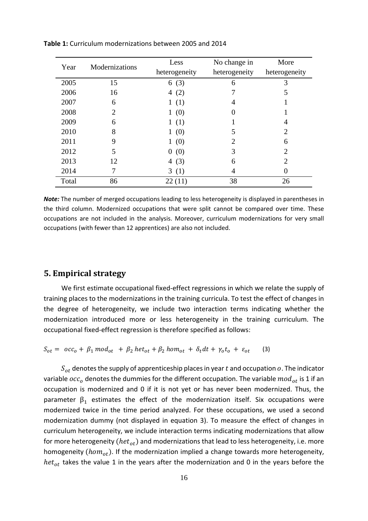| Year  | Modernizations        | Less            | No change in  | More                        |
|-------|-----------------------|-----------------|---------------|-----------------------------|
|       |                       | heterogeneity   | heterogeneity | heterogeneity               |
| 2005  | 15                    | 6(3)            | 6             | 3                           |
| 2006  | 16                    | 4 $(2)$         |               |                             |
| 2007  | 6                     | 1(1)            | 4             |                             |
| 2008  | $\mathcal{D}_{\cdot}$ | 1(0)            |               |                             |
| 2009  | 6                     | (1)<br>1        |               | 4                           |
| 2010  | 8                     | 1(0)            | 5             | 2                           |
| 2011  | 9                     | 1(0)            | 2             | 6                           |
| 2012  | 5                     | (0)<br>$\theta$ | 3             | 2                           |
| 2013  | 12                    | (3)<br>4        | 6             | $\mathcal{D}_{\mathcal{L}}$ |
| 2014  |                       | 3(1)            | 4             |                             |
| Total | 86                    | 22(11)          | 38            | 26                          |

**Table 1:** Curriculum modernizations between 2005 and 2014

*Note:* The number of merged occupations leading to less heterogeneity is displayed in parentheses in the third column. Modernized occupations that were split cannot be compared over time. These occupations are not included in the analysis. Moreover, curriculum modernizations for very small occupations (with fewer than 12 apprentices) are also not included.

### **5. Empirical strategy**

We first estimate occupational fixed-effect regressions in which we relate the supply of training places to the modernizations in the training curricula. To test the effect of changes in the degree of heterogeneity, we include two interaction terms indicating whether the modernization introduced more or less heterogeneity in the training curriculum. The occupational fixed‐effect regression is therefore specified as follows:

 $S_{ot} = \begin{bmatrix} \frac{\partial c}{\partial t} + \beta_1 \mod_{ot} + \beta_2 \text{hct}_{ot} + \beta_2 \text{hom}_{ot} + \delta_t dt + \gamma_0 t_0 + \varepsilon_0 t \end{bmatrix}$  (3)

 $S_{ot}$  denotes the supply of apprenticeship places in year t and occupation  $o$ . The indicator variable  $occ_0$  denotes the dummies for the different occupation. The variable  $mod_{ot}$  is 1 if an occupation is modernized and 0 if it is not yet or has never been modernized. Thus, the parameter  $\beta_1$  estimates the effect of the modernization itself. Six occupations were modernized twice in the time period analyzed. For these occupations, we used a second modernization dummy (not displayed in equation 3). To measure the effect of changes in curriculum heterogeneity, we include interaction terms indicating modernizations that allow for more heterogeneity ( $het_{ot}$ ) and modernizations that lead to less heterogeneity, i.e. more homogeneity  $(hom_{ot})$ . If the modernization implied a change towards more heterogeneity,  $het_{ot}$  takes the value 1 in the years after the modernization and 0 in the years before the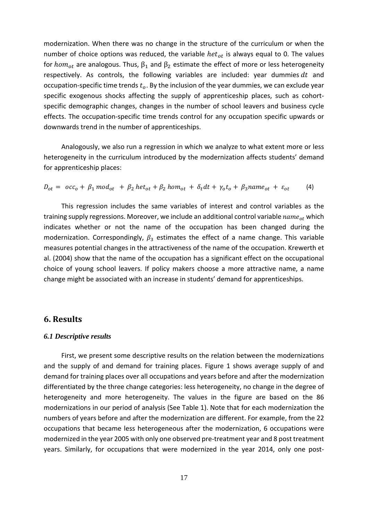modernization. When there was no change in the structure of the curriculum or when the number of choice options was reduced, the variable  $het_{ot}$  is always equal to 0. The values for *hom*<sub>ot</sub> are analogous. Thus,  $β_1$  and  $β_2$  estimate the effect of more or less heterogeneity respectively. As controls, the following variables are included: year dummies  $dt$  and occupation-specific time trends  $t_o$ . By the inclusion of the year dummies, we can exclude year specific exogenous shocks affecting the supply of apprenticeship places, such as cohortspecific demographic changes, changes in the number of school leavers and business cycle effects. The occupation‐specific time trends control for any occupation specific upwards or downwards trend in the number of apprenticeships.

Analogously, we also run a regression in which we analyze to what extent more or less heterogeneity in the curriculum introduced by the modernization affects students' demand for apprenticeship places:

$$
D_{ot} = \n\begin{bmatrix}\n\cos \theta + \beta_1 \mod_{ot} + \beta_2 \mid \text{let}_{ot} + \beta_2 \mid \text{hom}_{ot} + \delta_t \, dt + \gamma_0 \, t_0 + \beta_3 \, \text{name}_{ot} + \varepsilon_{ot}\n\end{bmatrix} \n\tag{4}
$$

This regression includes the same variables of interest and control variables as the training supply regressions. Moreover, we include an additional control variable  $name_{at}$  which indicates whether or not the name of the occupation has been changed during the modernization. Correspondingly,  $\beta_3$  estimates the effect of a name change. This variable measures potential changes in the attractiveness of the name of the occupation. Krewerth et al. (2004) show that the name of the occupation has a significant effect on the occupational choice of young school leavers. If policy makers choose a more attractive name, a name change might be associated with an increase in students' demand for apprenticeships.

#### **6. Results**

#### *6.1 Descriptive results*

First, we present some descriptive results on the relation between the modernizations and the supply of and demand for training places. Figure 1 shows average supply of and demand for training places over all occupations and years before and after the modernization differentiated by the three change categories: less heterogeneity, no change in the degree of heterogeneity and more heterogeneity. The values in the figure are based on the 86 modernizations in our period of analysis (See Table 1). Note that for each modernization the numbers of years before and after the modernization are different. For example, from the 22 occupations that became less heterogeneous after the modernization, 6 occupations were modernized in the year 2005 with only one observed pre‐treatment year and 8 post treatment years. Similarly, for occupations that were modernized in the year 2014, only one post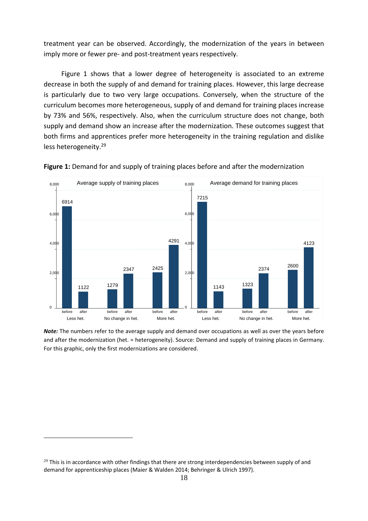treatment year can be observed. Accordingly, the modernization of the years in between imply more or fewer pre- and post-treatment years respectively.

Figure 1 shows that a lower degree of heterogeneity is associated to an extreme decrease in both the supply of and demand for training places. However, this large decrease is particularly due to two very large occupations. Conversely, when the structure of the curriculum becomes more heterogeneous, supply of and demand for training places increase by 73% and 56%, respectively. Also, when the curriculum structure does not change, both supply and demand show an increase after the modernization. These outcomes suggest that both firms and apprentices prefer more heterogeneity in the training regulation and dislike less heterogeneity.29



**Figure 1:** Demand for and supply of training places before and after the modernization

*Note:* The numbers refer to the average supply and demand over occupations as well as over the years before and after the modernization (het. = heterogeneity). Source: Demand and supply of training places in Germany. For this graphic, only the first modernizations are considered.

<u>.</u>

 $29$  This is in accordance with other findings that there are strong interdependencies between supply of and demand for apprenticeship places (Maier & Walden 2014; Behringer & Ulrich 1997).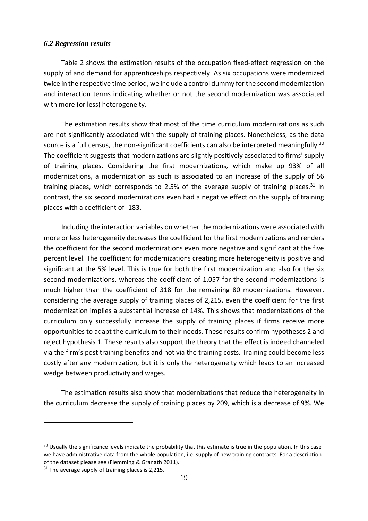#### *6.2 Regression results*

Table 2 shows the estimation results of the occupation fixed-effect regression on the supply of and demand for apprenticeships respectively. As six occupations were modernized twice in the respective time period, we include a control dummy for the second modernization and interaction terms indicating whether or not the second modernization was associated with more (or less) heterogeneity.

The estimation results show that most of the time curriculum modernizations as such are not significantly associated with the supply of training places. Nonetheless, as the data source is a full census, the non-significant coefficients can also be interpreted meaningfully.<sup>30</sup> The coefficient suggests that modernizations are slightly positively associated to firms' supply of training places. Considering the first modernizations, which make up 93% of all modernizations, a modernization as such is associated to an increase of the supply of 56 training places, which corresponds to 2.5% of the average supply of training places.<sup>31</sup> In contrast, the six second modernizations even had a negative effect on the supply of training places with a coefficient of ‐183.

Including the interaction variables on whether the modernizations were associated with more or less heterogeneity decreases the coefficient for the first modernizations and renders the coefficient for the second modernizations even more negative and significant at the five percent level. The coefficient for modernizations creating more heterogeneity is positive and significant at the 5% level. This is true for both the first modernization and also for the six second modernizations, whereas the coefficient of 1.057 for the second modernizations is much higher than the coefficient of 318 for the remaining 80 modernizations. However, considering the average supply of training places of 2,215, even the coefficient for the first modernization implies a substantial increase of 14%. This shows that modernizations of the curriculum only successfully increase the supply of training places if firms receive more opportunities to adapt the curriculum to their needs. These results confirm hypotheses 2 and reject hypothesis 1. These results also support the theory that the effect is indeed channeled via the firm's post training benefits and not via the training costs. Training could become less costly after any modernization, but it is only the heterogeneity which leads to an increased wedge between productivity and wages.

The estimation results also show that modernizations that reduce the heterogeneity in the curriculum decrease the supply of training places by 209, which is a decrease of 9%. We

1

 $30$  Usually the significance levels indicate the probability that this estimate is true in the population. In this case we have administrative data from the whole population, i.e. supply of new training contracts. For a description of the dataset please see (Flemming & Granath 2011).

 $31$  The average supply of training places is 2,215.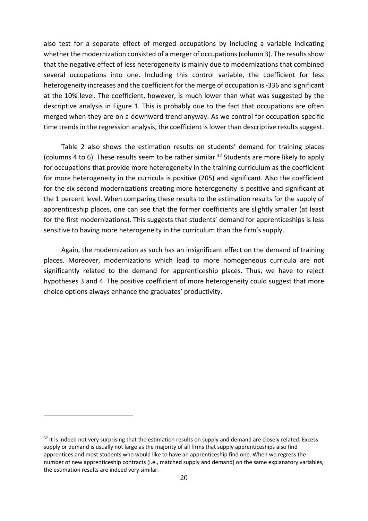also test for a separate effect of merged occupations by including a variable indicating whether the modernization consisted of a merger of occupations (column 3). The results show that the negative effect of less heterogeneity is mainly due to modernizations that combined several occupations into one. Including this control variable, the coefficient for less heterogeneity increases and the coefficient for the merge of occupation is -336 and significant at the 10% level. The coefficient, however, is much lower than what was suggested by the descriptive analysis in Figure 1. This is probably due to the fact that occupations are often merged when they are on a downward trend anyway. As we control for occupation specific time trends in the regression analysis, the coefficient is lower than descriptive results suggest.

Table 2 also shows the estimation results on students' demand for training places (columns 4 to 6). These results seem to be rather similar.<sup>32</sup> Students are more likely to apply for occupations that provide more heterogeneity in the training curriculum as the coefficient for more heterogeneity in the curricula is positive (205) and significant. Also the coefficient for the six second modernizations creating more heterogeneity is positive and significant at the 1 percent level. When comparing these results to the estimation results for the supply of apprenticeship places, one can see that the former coefficients are slightly smaller (at least for the first modernizations). This suggests that students' demand for apprenticeships is less sensitive to having more heterogeneity in the curriculum than the firm's supply.

Again, the modernization as such has an insignificant effect on the demand of training places. Moreover, modernizations which lead to more homogeneous curricula are not significantly related to the demand for apprenticeship places. Thus, we have to reject hypotheses 3 and 4. The positive coefficient of more heterogeneity could suggest that more choice options always enhance the graduates' productivity.

1

 $32$  It is indeed not very surprising that the estimation results on supply and demand are closely related. Excess supply or demand is usually not large as the majority of all firms that supply apprenticeships also find apprentices and most students who would like to have an apprenticeship find one. When we regress the number of new apprenticeship contracts (i.e., matched supply and demand) on the same explanatory variables, the estimation results are indeed very similar.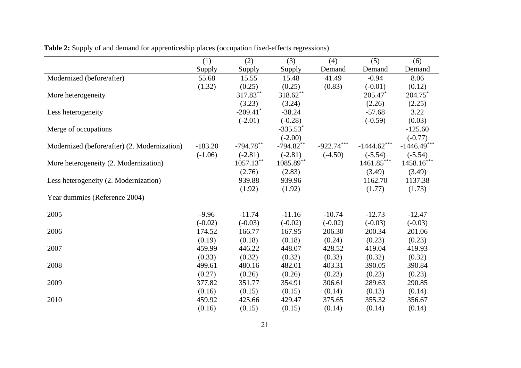|                                              | (1)       | (2)          | (3)                    | (4)          | (5)           | (6)           |
|----------------------------------------------|-----------|--------------|------------------------|--------------|---------------|---------------|
|                                              | Supply    | Supply       | Supply                 | Demand       | Demand        | Demand        |
| Modernized (before/after)                    | 55.68     | 15.55        | 15.48                  | 41.49        | $-0.94$       | 8.06          |
|                                              | (1.32)    | (0.25)       | (0.25)                 | (0.83)       | $(-0.01)$     | (0.12)        |
| More heterogeneity                           |           | 317.83**     | $318.62***$            |              | 205.47*       | 204.75*       |
|                                              |           | (3.23)       | (3.24)                 |              | (2.26)        | (2.25)        |
| Less heterogeneity                           |           | $-209.41$ *  | $-38.24$               |              | $-57.68$      | 3.22          |
|                                              |           | $(-2.01)$    | $(-0.28)$              |              | $(-0.59)$     | (0.03)        |
| Merge of occupations                         |           |              | $-335.53$ <sup>*</sup> |              |               | $-125.60$     |
|                                              |           |              | $(-2.00)$              |              |               | $(-0.77)$     |
| Modernized (before/after) (2. Modernization) | $-183.20$ | $-794.78***$ | $-794.82**$            | $-922.74***$ | $-1444.62***$ | $-1446.49***$ |
|                                              | $(-1.06)$ | $(-2.81)$    | $(-2.81)$              | $(-4.50)$    | $(-5.54)$     | $(-5.54)$     |
| More heterogeneity (2. Modernization)        |           | $1057.13***$ | 1085.89**              |              | $1461.85***$  | $1458.16***$  |
|                                              |           | (2.76)       | (2.83)                 |              | (3.49)        | (3.49)        |
| Less heterogeneity (2. Modernization)        |           | 939.88       | 939.96                 |              | 1162.70       | 1137.38       |
|                                              |           | (1.92)       | (1.92)                 |              | (1.77)        | (1.73)        |
| Year dummies (Reference 2004)                |           |              |                        |              |               |               |
|                                              |           |              |                        |              |               |               |
| 2005                                         | $-9.96$   | $-11.74$     | $-11.16$               | $-10.74$     | $-12.73$      | $-12.47$      |
|                                              | $(-0.02)$ | $(-0.03)$    | $(-0.02)$              | $(-0.02)$    | $(-0.03)$     | $(-0.03)$     |
| 2006                                         | 174.52    | 166.77       | 167.95                 | 206.30       | 200.34        | 201.06        |
|                                              | (0.19)    | (0.18)       | (0.18)                 | (0.24)       | (0.23)        | (0.23)        |
| 2007                                         | 459.99    | 446.22       | 448.07                 | 428.52       | 419.04        | 419.93        |
|                                              | (0.33)    | (0.32)       | (0.32)                 | (0.33)       | (0.32)        | (0.32)        |
| 2008                                         | 499.61    | 480.16       | 482.01                 | 403.31       | 390.05        | 390.84        |
|                                              | (0.27)    | (0.26)       | (0.26)                 | (0.23)       | (0.23)        | (0.23)        |
| 2009                                         | 377.82    | 351.77       | 354.91                 | 306.61       | 289.63        | 290.85        |
|                                              | (0.16)    | (0.15)       | (0.15)                 | (0.14)       | (0.13)        | (0.14)        |
| 2010                                         | 459.92    | 425.66       | 429.47                 | 375.65       | 355.32        | 356.67        |
|                                              | (0.16)    | (0.15)       | (0.15)                 | (0.14)       | (0.14)        | (0.14)        |

**Table 2:** Supply of and demand for apprenticeship places (occupation fixed-effects regressions)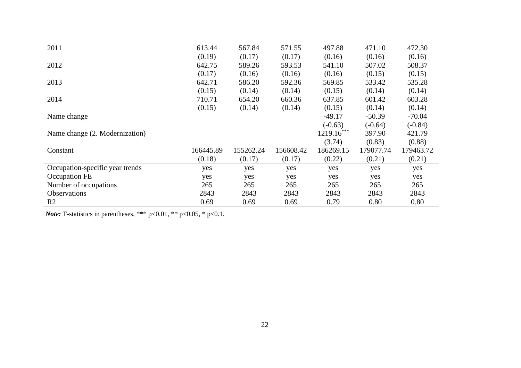| 2011                            | 613.44    | 567.84    | 571.55    | 497.88       | 471.10    | 472.30    |
|---------------------------------|-----------|-----------|-----------|--------------|-----------|-----------|
|                                 | (0.19)    | (0.17)    | (0.17)    | (0.16)       | (0.16)    | (0.16)    |
| 2012                            | 642.75    | 589.26    | 593.53    | 541.10       | 507.02    | 508.37    |
|                                 | (0.17)    | (0.16)    | (0.16)    | (0.16)       | (0.15)    | (0.15)    |
| 2013                            | 642.71    | 586.20    | 592.36    | 569.85       | 533.42    | 535.28    |
|                                 | (0.15)    | (0.14)    | (0.14)    | (0.15)       | (0.14)    | (0.14)    |
| 2014                            | 710.71    | 654.20    | 660.36    | 637.85       | 601.42    | 603.28    |
|                                 | (0.15)    | (0.14)    | (0.14)    | (0.15)       | (0.14)    | (0.14)    |
| Name change                     |           |           |           | $-49.17$     | $-50.39$  | $-70.04$  |
|                                 |           |           |           | $(-0.63)$    | $(-0.64)$ | $(-0.84)$ |
| Name change (2. Modernization)  |           |           |           | $1219.16***$ | 397.90    | 421.79    |
|                                 |           |           |           | (3.74)       | (0.83)    | (0.88)    |
| Constant                        | 166445.89 | 155262.24 | 156608.42 | 186269.15    | 179077.74 | 179463.72 |
|                                 | (0.18)    | (0.17)    | (0.17)    | (0.22)       | (0.21)    | (0.21)    |
| Occupation-specific year trends | yes       | yes       | yes       | yes          | yes       | yes       |
| Occupation FE                   | yes       | yes       | yes       | yes          | yes       | yes       |
| Number of occupations           | 265       | 265       | 265       | 265          | 265       | 265       |
| <b>Observations</b>             | 2843      | 2843      | 2843      | 2843         | 2843      | 2843      |
| R <sub>2</sub>                  | 0.69      | 0.69      | 0.69      | 0.79         | 0.80      | 0.80      |

*Note:* T-statistics in parentheses, \*\*\* p<0.01, \*\* p<0.05, \* p<0.1.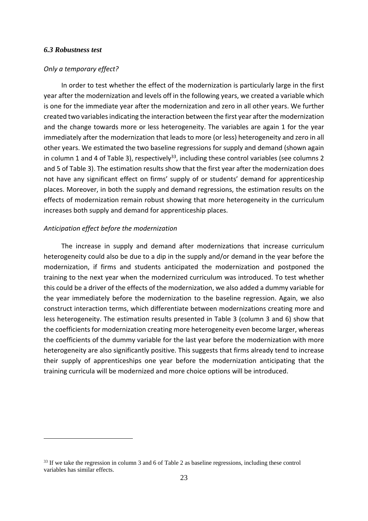#### *6.3 Robustness test*

1

#### *Only a temporary effect?*

In order to test whether the effect of the modernization is particularly large in the first year after the modernization and levels off in the following years, we created a variable which is one for the immediate year after the modernization and zero in all other years. We further created two variables indicating the interaction between the first year after the modernization and the change towards more or less heterogeneity. The variables are again 1 for the year immediately after the modernization that leads to more (or less) heterogeneity and zero in all other years. We estimated the two baseline regressions for supply and demand (shown again in column 1 and 4 of Table 3), respectively<sup>33</sup>, including these control variables (see columns 2 and 5 of Table 3). The estimation results show that the first year after the modernization does not have any significant effect on firms' supply of or students' demand for apprenticeship places. Moreover, in both the supply and demand regressions, the estimation results on the effects of modernization remain robust showing that more heterogeneity in the curriculum increases both supply and demand for apprenticeship places.

#### *Anticipation effect before the modernization*

The increase in supply and demand after modernizations that increase curriculum heterogeneity could also be due to a dip in the supply and/or demand in the year before the modernization, if firms and students anticipated the modernization and postponed the training to the next year when the modernized curriculum was introduced. To test whether this could be a driver of the effects of the modernization, we also added a dummy variable for the year immediately before the modernization to the baseline regression. Again, we also construct interaction terms, which differentiate between modernizations creating more and less heterogeneity. The estimation results presented in Table 3 (column 3 and 6) show that the coefficients for modernization creating more heterogeneity even become larger, whereas the coefficients of the dummy variable for the last year before the modernization with more heterogeneity are also significantly positive. This suggests that firms already tend to increase their supply of apprenticeships one year before the modernization anticipating that the training curricula will be modernized and more choice options will be introduced.

<sup>&</sup>lt;sup>33</sup> If we take the regression in column 3 and 6 of Table 2 as baseline regressions, including these control variables has similar effects.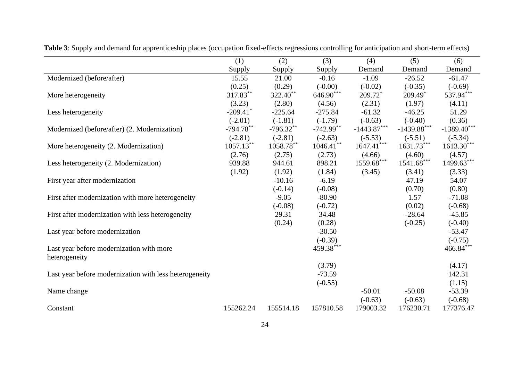|                                                        | (1)                    | (2)          | (3)          | (4)                   | (5)                      | (6)           |
|--------------------------------------------------------|------------------------|--------------|--------------|-----------------------|--------------------------|---------------|
|                                                        | Supply                 | Supply       | Supply       | Demand                | Demand                   | Demand        |
| Modernized (before/after)                              | 15.55                  | 21.00        | $-0.16$      | $-1.09$               | $-26.52$                 | $-61.47$      |
|                                                        | (0.25)                 | (0.29)       | $(-0.00)$    | $(-0.02)$             | $(-0.35)$                | $(-0.69)$     |
| More heterogeneity                                     | 317.83**               | $322.40***$  | $646.90***$  | $209.72$ <sup>*</sup> | $209.49*$                | 537.94***     |
|                                                        | (3.23)                 | (2.80)       | (4.56)       | (2.31)                | (1.97)                   | (4.11)        |
| Less heterogeneity                                     | $-209.41$ <sup>*</sup> | $-225.64$    | $-275.84$    | $-61.32$              | $-46.25$                 | 51.29         |
|                                                        | $(-2.01)$              | $(-1.81)$    | $(-1.79)$    | $(-0.63)$             | $(-0.40)$                | (0.36)        |
| Modernized (before/after) (2. Modernization)           | $-794.78***$           | $-796.32**$  | $-742.99***$ | $-1443.87***$         | $-1439.88***$            | $-1389.40***$ |
|                                                        | $(-2.81)$              | $(-2.81)$    | $(-2.63)$    | $(-5.53)$             | $(-5.51)$                | $(-5.34)$     |
| More heterogeneity (2. Modernization)                  | $1057.13***$           | $1058.78***$ | $1046.41***$ | $1647.41***$          | $1631.73***$             | $1613.30***$  |
|                                                        | (2.76)                 | (2.75)       | (2.73)       | (4.66)                | (4.60)                   | (4.57)        |
| Less heterogeneity (2. Modernization)                  | 939.88                 | 944.61       | 898.21       | 1559.68***            | $1541.68^{\ast\ast\ast}$ | $1499.63***$  |
|                                                        | (1.92)                 | (1.92)       | (1.84)       | (3.45)                | (3.41)                   | (3.33)        |
| First year after modernization                         |                        | $-10.16$     | $-6.19$      |                       | 47.19                    | 54.07         |
|                                                        |                        | $(-0.14)$    | $(-0.08)$    |                       | (0.70)                   | (0.80)        |
| First after modernization with more heterogeneity      |                        | $-9.05$      | $-80.90$     |                       | 1.57                     | $-71.08$      |
|                                                        |                        | $(-0.08)$    | $(-0.72)$    |                       | (0.02)                   | $(-0.68)$     |
| First after modernization with less heterogeneity      |                        | 29.31        | 34.48        |                       | $-28.64$                 | $-45.85$      |
|                                                        |                        | (0.24)       | (0.28)       |                       | $(-0.25)$                | $(-0.40)$     |
| Last year before modernization                         |                        |              | $-30.50$     |                       |                          | $-53.47$      |
|                                                        |                        |              | $(-0.39)$    |                       |                          | $(-0.75)$     |
| Last year before modernization with more               |                        |              | 459.38***    |                       |                          | $466.84***$   |
| heterogeneity                                          |                        |              |              |                       |                          |               |
|                                                        |                        |              | (3.79)       |                       |                          | (4.17)        |
| Last year before modernization with less heterogeneity |                        |              | $-73.59$     |                       |                          | 142.31        |
|                                                        |                        |              | $(-0.55)$    |                       |                          | (1.15)        |
| Name change                                            |                        |              |              | $-50.01$              | $-50.08$                 | $-53.39$      |
|                                                        |                        |              |              | $(-0.63)$             | $(-0.63)$                | $(-0.68)$     |
| Constant                                               | 155262.24              | 155514.18    | 157810.58    | 179003.32             | 176230.71                | 177376.47     |

**Table 3**: Supply and demand for apprenticeship places (occupation fixed-effects regressions controlling for anticipation and short-term effects)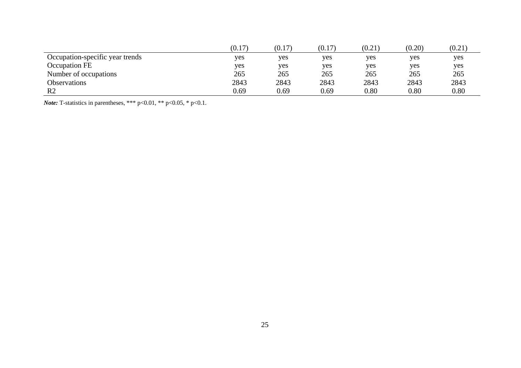|                                 | (0.1)<br>17 | (0.17) | (0.17) | (0.21) | (0.20) | (0.21) |
|---------------------------------|-------------|--------|--------|--------|--------|--------|
| Occupation-specific year trends | yes         | yes    | yes    | yes    | yes    | yes.   |
| <b>Occupation FE</b>            | ves         | yes    | yes    | yes    | yes    | yes    |
| Number of occupations           | 265         | 265    | 265    | 265    | 265    | 265    |
| Observations                    | 2843        | 2843   | 2843   | 2843   | 2843   | 2843   |
| R <sub>2</sub>                  | 0.69        | 0.69   | 0.69   | 0.80   | 0.80   | 0.80   |

*Note:* T-statistics in parentheses, \*\*\* p<0.01, \*\* p<0.05, \* p<0.1.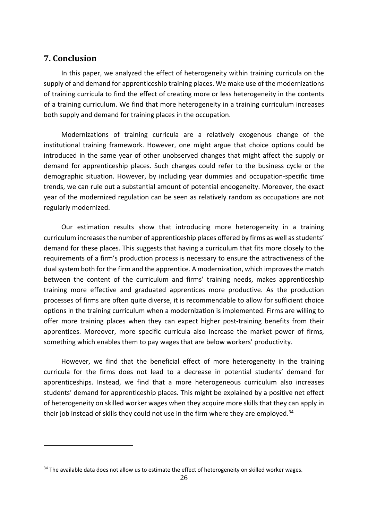### **7. Conclusion**

1

In this paper, we analyzed the effect of heterogeneity within training curricula on the supply of and demand for apprenticeship training places. We make use of the modernizations of training curricula to find the effect of creating more or less heterogeneity in the contents of a training curriculum. We find that more heterogeneity in a training curriculum increases both supply and demand for training places in the occupation.

Modernizations of training curricula are a relatively exogenous change of the institutional training framework. However, one might argue that choice options could be introduced in the same year of other unobserved changes that might affect the supply or demand for apprenticeship places. Such changes could refer to the business cycle or the demographic situation. However, by including year dummies and occupation‐specific time trends, we can rule out a substantial amount of potential endogeneity. Moreover, the exact year of the modernized regulation can be seen as relatively random as occupations are not regularly modernized.

Our estimation results show that introducing more heterogeneity in a training curriculum increases the number of apprenticeship places offered by firms as well as students' demand for these places. This suggests that having a curriculum that fits more closely to the requirements of a firm's production process is necessary to ensure the attractiveness of the dual system both for the firm and the apprentice. A modernization, which improves the match between the content of the curriculum and firms' training needs, makes apprenticeship training more effective and graduated apprentices more productive. As the production processes of firms are often quite diverse, it is recommendable to allow for sufficient choice options in the training curriculum when a modernization is implemented. Firms are willing to offer more training places when they can expect higher post-training benefits from their apprentices. Moreover, more specific curricula also increase the market power of firms, something which enables them to pay wages that are below workers' productivity.

However, we find that the beneficial effect of more heterogeneity in the training curricula for the firms does not lead to a decrease in potential students' demand for apprenticeships. Instead, we find that a more heterogeneous curriculum also increases students' demand for apprenticeship places. This might be explained by a positive net effect of heterogeneity on skilled worker wages when they acquire more skills that they can apply in their job instead of skills they could not use in the firm where they are employed. $34$ 

 $34$  The available data does not allow us to estimate the effect of heterogeneity on skilled worker wages.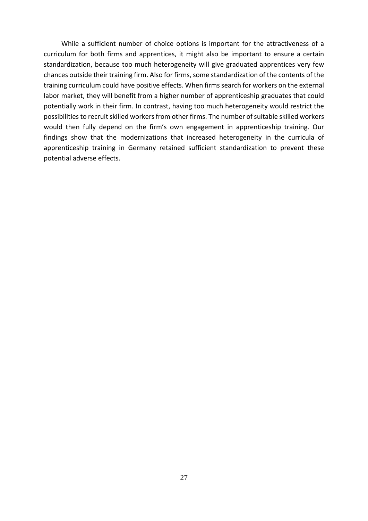While a sufficient number of choice options is important for the attractiveness of a curriculum for both firms and apprentices, it might also be important to ensure a certain standardization, because too much heterogeneity will give graduated apprentices very few chances outside their training firm. Also for firms, some standardization of the contents of the training curriculum could have positive effects. When firms search for workers on the external labor market, they will benefit from a higher number of apprenticeship graduates that could potentially work in their firm. In contrast, having too much heterogeneity would restrict the possibilities to recruit skilled workers from other firms. The number of suitable skilled workers would then fully depend on the firm's own engagement in apprenticeship training. Our findings show that the modernizations that increased heterogeneity in the curricula of apprenticeship training in Germany retained sufficient standardization to prevent these potential adverse effects.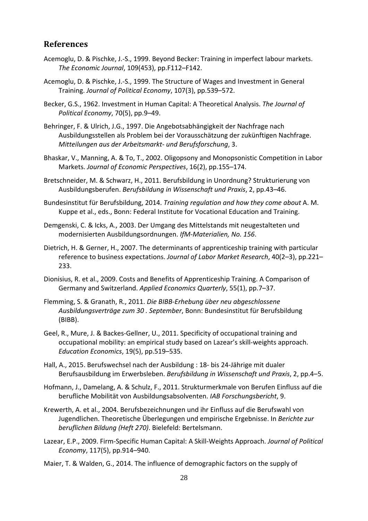## **References**

- Acemoglu, D. & Pischke, J.‐S., 1999. Beyond Becker: Training in imperfect labour markets. *The Economic Journal*, 109(453), pp.F112–F142.
- Acemoglu, D. & Pischke, J.‐S., 1999. The Structure of Wages and Investment in General Training. *Journal of Political Economy*, 107(3), pp.539–572.
- Becker, G.S., 1962. Investment in Human Capital: A Theoretical Analysis. *The Journal of Political Economy*, 70(5), pp.9–49.
- Behringer, F. & Ulrich, J.G., 1997. Die Angebotsabhängigkeit der Nachfrage nach Ausbildungsstellen als Problem bei der Vorausschätzung der zukünftigen Nachfrage. *Mitteilungen aus der Arbeitsmarkt‐ und Berufsforschung*, 3.
- Bhaskar, V., Manning, A. & To, T., 2002. Oligopsony and Monopsonistic Competition in Labor Markets. *Journal of Economic Perspectives*, 16(2), pp.155–174.
- Bretschneider, M. & Schwarz, H., 2011. Berufsbildung in Unordnung? Strukturierung von Ausbildungsberufen. *Berufsbildung in Wissenschaft und Praxis*, 2, pp.43–46.
- Bundesinstitut für Berufsbildung, 2014. *Training regulation and how they come about* A. M. Kuppe et al., eds., Bonn: Federal Institute for Vocational Education and Training.
- Demgenski, C. & Icks, A., 2003. Der Umgang des Mittelstands mit neugestalteten und modernisierten Ausbildungsordnungen. *IfM‐Materialien, No. 156*.
- Dietrich, H. & Gerner, H., 2007. The determinants of apprenticeship training with particular reference to business expectations. *Journal of Labor Market Research*, 40(2–3), pp.221– 233.
- Dionisius, R. et al., 2009. Costs and Benefits of Apprenticeship Training. A Comparison of Germany and Switzerland. *Applied Economics Quarterly*, 55(1), pp.7–37.
- Flemming, S. & Granath, R., 2011. *Die BIBB‐Erhebung über neu abgeschlossene Ausbildungsverträge zum 30 . September*, Bonn: Bundesinstitut für Berufsbildung (BIBB).
- Geel, R., Mure, J. & Backes‐Gellner, U., 2011. Specificity of occupational training and occupational mobility: an empirical study based on Lazear's skill‐weights approach. *Education Economics*, 19(5), pp.519–535.
- Hall, A., 2015. Berufswechsel nach der Ausbildung : 18‐ bis 24‐Jährige mit dualer Berufsausbildung im Erwerbsleben. *Berufsbildung in Wissenschaft und Praxis*, 2, pp.4–5.
- Hofmann, J., Damelang, A. & Schulz, F., 2011. Strukturmerkmale von Berufen Einfluss auf die berufliche Mobilität von Ausbildungsabsolventen. *IAB Forschungsbericht*, 9.
- Krewerth, A. et al., 2004. Berufsbezeichnungen und ihr Einfluss auf die Berufswahl von Jugendlichen. Theoretische Überlegungen und empirische Ergebnisse. In *Berichte zur beruflichen Bildung (Heft 270)*. Bielefeld: Bertelsmann.
- Lazear, E.P., 2009. Firm‐Specific Human Capital: A Skill‐Weights Approach. *Journal of Political Economy*, 117(5), pp.914–940.
- Maier, T. & Walden, G., 2014. The influence of demographic factors on the supply of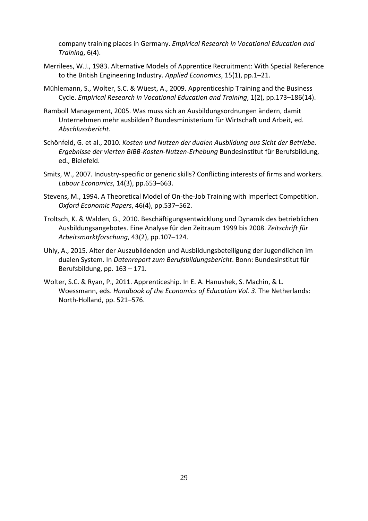company training places in Germany. *Empirical Research in Vocational Education and Training*, 6(4).

- Merrilees, W.J., 1983. Alternative Models of Apprentice Recruitment: With Special Reference to the British Engineering Industry. *Applied Economics*, 15(1), pp.1–21.
- Mühlemann, S., Wolter, S.C. & Wüest, A., 2009. Apprenticeship Training and the Business Cycle. *Empirical Research in Vocational Education and Training*, 1(2), pp.173–186(14).
- Ramboll Management, 2005. Was muss sich an Ausbildungsordnungen ändern, damit Unternehmen mehr ausbilden? Bundesministerium für Wirtschaft und Arbeit, ed. *Abschlussbericht*.
- Schönfeld, G. et al., 2010. *Kosten und Nutzen der dualen Ausbildung aus Sicht der Betriebe. Ergebnisse der vierten BIBB‐Kosten‐Nutzen‐Erhebung* Bundesinstitut für Berufsbildung, ed., Bielefeld.
- Smits, W., 2007. Industry‐specific or generic skills? Conflicting interests of firms and workers. *Labour Economics*, 14(3), pp.653–663.
- Stevens, M., 1994. A Theoretical Model of On‐the‐Job Training with Imperfect Competition. *Oxford Economic Papers*, 46(4), pp.537–562.
- Troltsch, K. & Walden, G., 2010. Beschäftigungsentwicklung und Dynamik des betrieblichen Ausbildungsangebotes. Eine Analyse für den Zeitraum 1999 bis 2008. *Zeitschrift für Arbeitsmarktforschung*, 43(2), pp.107–124.
- Uhly, A., 2015. Alter der Auszubildenden und Ausbildungsbeteiligung der Jugendlichen im dualen System. In *Datenreport zum Berufsbildungsbericht*. Bonn: Bundesinstitut für Berufsbildung, pp. 163 – 171.
- Wolter, S.C. & Ryan, P., 2011. Apprenticeship. In E. A. Hanushek, S. Machin, & L. Woessmann, eds. *Handbook of the Economics of Education Vol. 3*. The Netherlands: North‐Holland, pp. 521–576.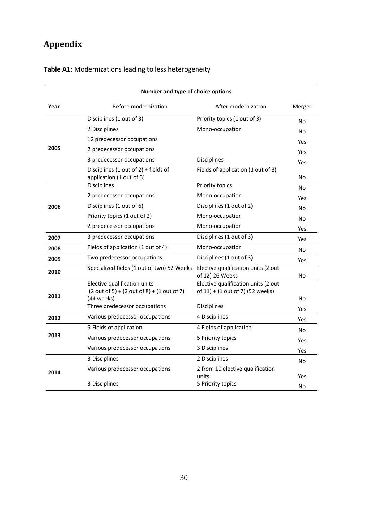# **Appendix**

| Number and type of choice options |                                                                  |                                                        |        |  |  |  |
|-----------------------------------|------------------------------------------------------------------|--------------------------------------------------------|--------|--|--|--|
| Year                              | Before modernization                                             | After modernization                                    | Merger |  |  |  |
|                                   | Disciplines (1 out of 3)                                         | Priority topics (1 out of 3)                           | No     |  |  |  |
|                                   | 2 Disciplines                                                    | Mono-occupation                                        | No     |  |  |  |
|                                   | 12 predecessor occupations                                       |                                                        | Yes    |  |  |  |
| 2005                              | 2 predecessor occupations                                        |                                                        | Yes    |  |  |  |
|                                   | 3 predecessor occupations                                        | <b>Disciplines</b>                                     | Yes    |  |  |  |
|                                   | Disciplines (1 out of 2) + fields of<br>application (1 out of 3) | Fields of application (1 out of 3)                     | No     |  |  |  |
|                                   | Disciplines                                                      | Priority topics                                        | No     |  |  |  |
|                                   | 2 predecessor occupations                                        | Mono-occupation                                        | Yes    |  |  |  |
| 2006                              | Disciplines (1 out of 6)                                         | Disciplines (1 out of 2)                               | No     |  |  |  |
|                                   | Priority topics (1 out of 2)                                     | Mono-occupation                                        | No     |  |  |  |
|                                   | 2 predecessor occupations                                        | Mono-occupation                                        | Yes    |  |  |  |
| 2007                              | 3 predecessor occupations                                        | Disciplines (1 out of 3)                               | Yes    |  |  |  |
| 2008                              | Fields of application (1 out of 4)                               | Mono-occupation                                        | No     |  |  |  |
| 2009                              | Two predecessor occupations                                      | Disciplines (1 out of 3)                               | Yes    |  |  |  |
| 2010                              | Specialized fields (1 out of two) 52 Weeks                       | Elective qualification units (2 out<br>of 12) 26 Weeks | No     |  |  |  |
|                                   | Elective qualification units                                     | Elective qualification units (2 out                    |        |  |  |  |
| 2011                              | $(2 out of 5) + (2 out of 8) + (1 out of 7)$<br>(44 weeks)       | of 11) + (1 out of 7) (52 weeks)                       | No     |  |  |  |
|                                   | Three predecessor occupations                                    | Disciplines                                            | Yes    |  |  |  |
| 2012                              | Various predecessor occupations                                  | 4 Disciplines                                          | Yes    |  |  |  |
|                                   | 5 Fields of application                                          | 4 Fields of application                                | No.    |  |  |  |
| 2013                              | Various predecessor occupations                                  | 5 Priority topics                                      | Yes    |  |  |  |
|                                   | Various predecessor occupations                                  | 3 Disciplines                                          | Yes    |  |  |  |
|                                   | 3 Disciplines                                                    | 2 Disciplines                                          | No     |  |  |  |
| 2014                              | Various predecessor occupations                                  | 2 from 10 elective qualification                       |        |  |  |  |
|                                   | 3 Disciplines                                                    | units<br>5 Priority topics                             | Yes    |  |  |  |
|                                   |                                                                  |                                                        | No     |  |  |  |

# **Table A1:** Modernizations leading to less heterogeneity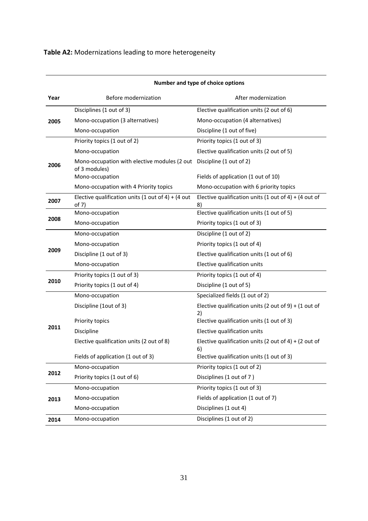# **Table A2:** Modernizations leading to more heterogeneity

|      | Number and type of choice options                             |                                                             |  |  |  |  |
|------|---------------------------------------------------------------|-------------------------------------------------------------|--|--|--|--|
| Year | Before modernization                                          | After modernization                                         |  |  |  |  |
|      | Disciplines (1 out of 3)                                      | Elective qualification units (2 out of 6)                   |  |  |  |  |
| 2005 | Mono-occupation (3 alternatives)                              | Mono-occupation (4 alternatives)                            |  |  |  |  |
|      | Mono-occupation                                               | Discipline (1 out of five)                                  |  |  |  |  |
|      | Priority topics (1 out of 2)                                  | Priority topics (1 out of 3)                                |  |  |  |  |
|      | Mono-occupation                                               | Elective qualification units (2 out of 5)                   |  |  |  |  |
| 2006 | Mono-occupation with elective modules (2 out<br>of 3 modules) | Discipline (1 out of 2)                                     |  |  |  |  |
|      | Mono-occupation                                               | Fields of application (1 out of 10)                         |  |  |  |  |
|      | Mono-occupation with 4 Priority topics                        | Mono-occupation with 6 priority topics                      |  |  |  |  |
| 2007 | Elective qualification units (1 out of 4) + (4 out<br>of 7)   | Elective qualification units (1 out of 4) + (4 out of<br>8) |  |  |  |  |
|      | Mono-occupation                                               | Elective qualification units (1 out of 5)                   |  |  |  |  |
| 2008 | Mono-occupation                                               | Priority topics (1 out of 3)                                |  |  |  |  |
|      | Mono-occupation                                               | Discipline (1 out of 2)                                     |  |  |  |  |
|      | Mono-occupation                                               | Priority topics (1 out of 4)                                |  |  |  |  |
| 2009 | Discipline (1 out of 3)                                       | Elective qualification units (1 out of 6)                   |  |  |  |  |
|      | Mono-occupation                                               | Elective qualification units                                |  |  |  |  |
|      | Priority topics (1 out of 3)                                  | Priority topics (1 out of 4)                                |  |  |  |  |
| 2010 | Priority topics (1 out of 4)                                  | Discipline (1 out of 5)                                     |  |  |  |  |
|      | Mono-occupation                                               | Specialized fields (1 out of 2)                             |  |  |  |  |
|      | Discipline (1out of 3)                                        | Elective qualification units (2 out of 9) + (1 out of<br>2) |  |  |  |  |
|      | Priority topics                                               | Elective qualification units (1 out of 3)                   |  |  |  |  |
| 2011 | Discipline                                                    | Elective qualification units                                |  |  |  |  |
|      | Elective qualification units (2 out of 8)                     | Elective qualification units (2 out of 4) + (2 out of<br>6) |  |  |  |  |
|      | Fields of application (1 out of 3)                            | Elective qualification units (1 out of 3)                   |  |  |  |  |
|      | Mono-occupation                                               | Priority topics (1 out of 2)                                |  |  |  |  |
| 2012 | Priority topics (1 out of 6)                                  | Disciplines (1 out of 7)                                    |  |  |  |  |
|      | Mono-occupation                                               | Priority topics (1 out of 3)                                |  |  |  |  |
| 2013 | Mono-occupation                                               | Fields of application (1 out of 7)                          |  |  |  |  |
|      | Mono-occupation                                               | Disciplines (1 out 4)                                       |  |  |  |  |
| 2014 | Mono-occupation                                               | Disciplines (1 out of 2)                                    |  |  |  |  |

### **Number and type of choice options**